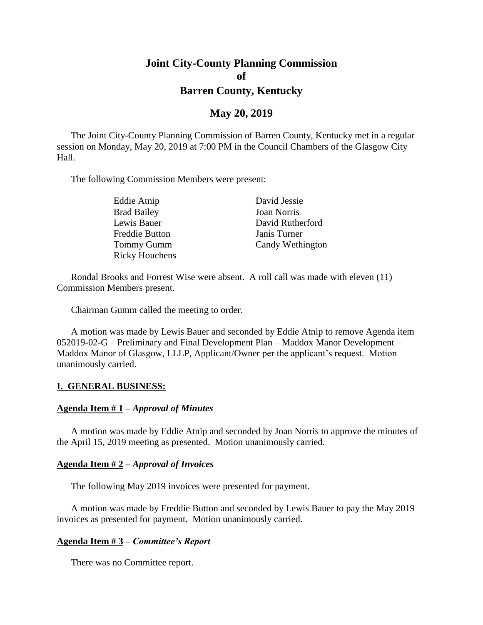# **Joint City-County Planning Commission of Barren County, Kentucky**

### **May 20, 2019**

The Joint City-County Planning Commission of Barren County, Kentucky met in a regular session on Monday, May 20, 2019 at 7:00 PM in the Council Chambers of the Glasgow City Hall.

The following Commission Members were present:

| Eddie Atnip           | David Jessie       |
|-----------------------|--------------------|
| <b>Brad Bailey</b>    | <b>Joan Norris</b> |
| Lewis Bauer           | David Rutherford   |
| <b>Freddie Button</b> | Janis Turner       |
| Tommy Gumm            | Candy Wethington   |
| <b>Ricky Houchens</b> |                    |

Rondal Brooks and Forrest Wise were absent. A roll call was made with eleven (11) Commission Members present.

Chairman Gumm called the meeting to order.

A motion was made by Lewis Bauer and seconded by Eddie Atnip to remove Agenda item 052019-02-G – Preliminary and Final Development Plan – Maddox Manor Development – Maddox Manor of Glasgow, LLLP, Applicant/Owner per the applicant's request. Motion unanimously carried.

#### **I. GENERAL BUSINESS:**

#### **Agenda Item # 1 –** *Approval of Minutes*

A motion was made by Eddie Atnip and seconded by Joan Norris to approve the minutes of the April 15, 2019 meeting as presented. Motion unanimously carried.

#### **Agenda Item # 2 –** *Approval of Invoices*

The following May 2019 invoices were presented for payment.

A motion was made by Freddie Button and seconded by Lewis Bauer to pay the May 2019 invoices as presented for payment. Motion unanimously carried.

#### **Agenda Item # 3 –** *Committee's Report*

There was no Committee report.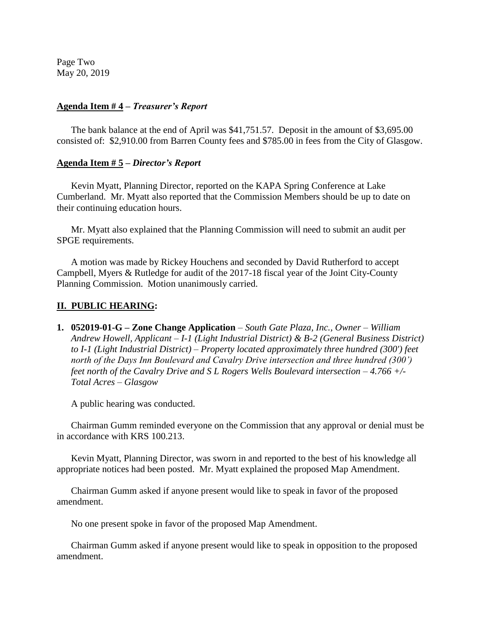Page Two May 20, 2019

#### **Agenda Item # 4 –** *Treasurer's Report*

The bank balance at the end of April was \$41,751.57. Deposit in the amount of \$3,695.00 consisted of: \$2,910.00 from Barren County fees and \$785.00 in fees from the City of Glasgow.

#### **Agenda Item # 5 –** *Director's Report*

Kevin Myatt, Planning Director, reported on the KAPA Spring Conference at Lake Cumberland. Mr. Myatt also reported that the Commission Members should be up to date on their continuing education hours.

Mr. Myatt also explained that the Planning Commission will need to submit an audit per SPGE requirements.

A motion was made by Rickey Houchens and seconded by David Rutherford to accept Campbell, Myers & Rutledge for audit of the 2017-18 fiscal year of the Joint City-County Planning Commission. Motion unanimously carried.

### **II. PUBLIC HEARING:**

**1. 052019-01-G – Zone Change Application** *– South Gate Plaza, Inc., Owner – William Andrew Howell, Applicant – I-1 (Light Industrial District) & B-2 (General Business District) to I-1 (Light Industrial District) – Property located approximately three hundred (300') feet north of the Days Inn Boulevard and Cavalry Drive intersection and three hundred (300') feet north of the Cavalry Drive and S L Rogers Wells Boulevard intersection – 4.766 +/- Total Acres – Glasgow* 

A public hearing was conducted.

Chairman Gumm reminded everyone on the Commission that any approval or denial must be in accordance with KRS 100.213.

Kevin Myatt, Planning Director, was sworn in and reported to the best of his knowledge all appropriate notices had been posted. Mr. Myatt explained the proposed Map Amendment.

Chairman Gumm asked if anyone present would like to speak in favor of the proposed amendment.

No one present spoke in favor of the proposed Map Amendment.

Chairman Gumm asked if anyone present would like to speak in opposition to the proposed amendment.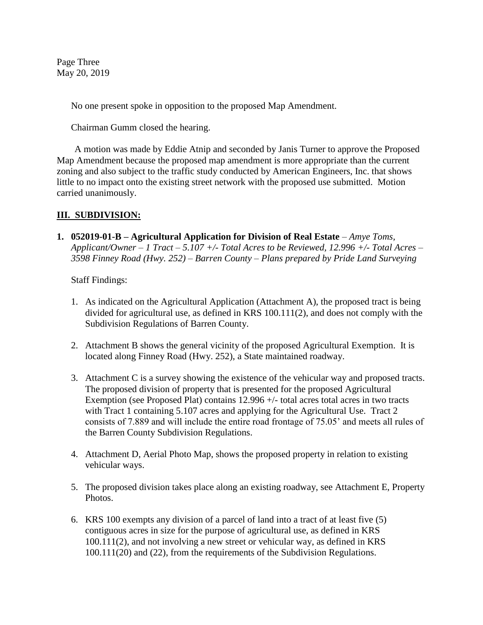Page Three May 20, 2019

No one present spoke in opposition to the proposed Map Amendment.

Chairman Gumm closed the hearing.

A motion was made by Eddie Atnip and seconded by Janis Turner to approve the Proposed Map Amendment because the proposed map amendment is more appropriate than the current zoning and also subject to the traffic study conducted by American Engineers, Inc. that shows little to no impact onto the existing street network with the proposed use submitted. Motion carried unanimously.

## **III. SUBDIVISION:**

**1. 052019-01-B – Agricultural Application for Division of Real Estate** *– Amye Toms, Applicant/Owner – 1 Tract – 5.107 +/- Total Acres to be Reviewed, 12.996 +/- Total Acres – 3598 Finney Road (Hwy. 252) – Barren County – Plans prepared by Pride Land Surveying*

Staff Findings:

- 1. As indicated on the Agricultural Application (Attachment A), the proposed tract is being divided for agricultural use, as defined in KRS 100.111(2), and does not comply with the Subdivision Regulations of Barren County.
- 2. Attachment B shows the general vicinity of the proposed Agricultural Exemption. It is located along Finney Road (Hwy. 252), a State maintained roadway.
- 3. Attachment C is a survey showing the existence of the vehicular way and proposed tracts. The proposed division of property that is presented for the proposed Agricultural Exemption (see Proposed Plat) contains 12.996 +/- total acres total acres in two tracts with Tract 1 containing 5.107 acres and applying for the Agricultural Use. Tract 2 consists of 7.889 and will include the entire road frontage of 75.05' and meets all rules of the Barren County Subdivision Regulations.
- 4. Attachment D, Aerial Photo Map, shows the proposed property in relation to existing vehicular ways.
- 5. The proposed division takes place along an existing roadway, see Attachment E, Property Photos.
- 6. KRS 100 exempts any division of a parcel of land into a tract of at least five (5) contiguous acres in size for the purpose of agricultural use, as defined in KRS 100.111(2), and not involving a new street or vehicular way, as defined in KRS 100.111(20) and (22), from the requirements of the Subdivision Regulations.